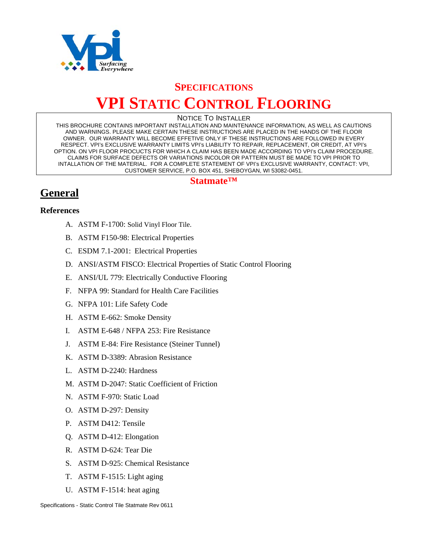

# **SPECIFICATIONS VPI STATIC CONTROL FLOORING**

#### NOTICE TO INSTALLER

THIS BROCHURE CONTAINS IMPORTANT INSTALLATION AND MAINTENANCE INFORMATION, AS WELL AS CAUTIONS AND WARNINGS. PLEASE MAKE CERTAIN THESE INSTRUCTIONS ARE PLACED IN THE HANDS OF THE FLOOR OWNER. OUR WARRANTY WILL BECOME EFFETIVE ONLY IF THESE INSTRUCTIONS ARE FOLLOWED IN EVERY RESPECT. VPI's EXCLUSIVE WARRANTY LIMITS VPI's LIABILITY TO REPAIR, REPLACEMENT, OR CREDIT, AT VPI's OPTION. ON VPI FLOOR PROCUCTS FOR WHICH A CLAIM HAS BEEN MADE ACCORDING TO VPI's CLAIM PROCEDURE. CLAIMS FOR SURFACE DEFECTS OR VARIATIONS INCOLOR OR PATTERN MUST BE MADE TO VPI PRIOR TO INTALLATION OF THE MATERIAL. FOR A COMPLETE STATEMENT OF VPI's EXCLUSIVE WARRANTY, CONTACT: VPI, CUSTOMER SERVICE, P.O. BOX 451, SHEBOYGAN, WI 53082-0451.

#### **Statmate™**

# **General**

#### **References**

- A. ASTM F-1700: Solid Vinyl Floor Tile.
- B. ASTM F150-98: Electrical Properties
- C. ESDM 7.1-2001: Electrical Properties
- D. ANSI/ASTM FISCO: Electrical Properties of Static Control Flooring
- E. ANSI/UL 779: Electrically Conductive Flooring
- F. NFPA 99: Standard for Health Care Facilities
- G. NFPA 101: Life Safety Code
- H. ASTM E-662: Smoke Density
- I. ASTM E-648 / NFPA 253: Fire Resistance
- J. ASTM E-84: Fire Resistance (Steiner Tunnel)
- K. ASTM D-3389: Abrasion Resistance
- L. ASTM D-2240: Hardness
- M. ASTM D-2047: Static Coefficient of Friction
- N. ASTM F-970: Static Load
- O. ASTM D-297: Density
- P. ASTM D412: Tensile
- Q. ASTM D-412: Elongation
- R. ASTM D-624: Tear Die
- S. ASTM D-925: Chemical Resistance
- T. ASTM F-1515: Light aging
- U. ASTM F-1514: heat aging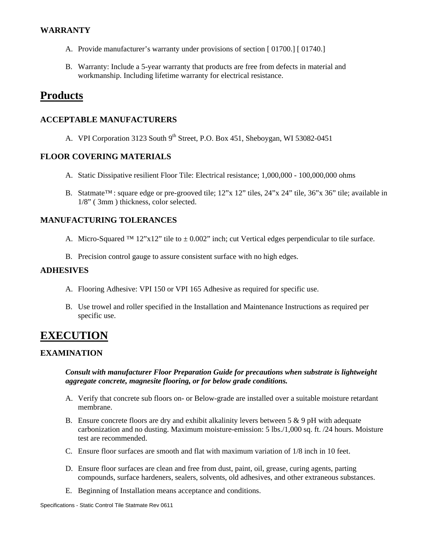#### **WARRANTY**

- A. Provide manufacturer's warranty under provisions of section [ 01700.] [ 01740.]
- B. Warranty: Include a 5-year warranty that products are free from defects in material and workmanship. Including lifetime warranty for electrical resistance.

### **Products**

#### **ACCEPTABLE MANUFACTURERS**

A. VPI Corporation 3123 South  $9<sup>th</sup>$  Street, P.O. Box 451, Sheboygan, WI 53082-0451

#### **FLOOR COVERING MATERIALS**

- A. Static Dissipative resilient Floor Tile: Electrical resistance; 1,000,000 100,000,000 ohms
- B. Statmate™: square edge or pre-grooved tile; 12"x 12" tiles, 24"x 24" tile, 36"x 36" tile; available in 1/8" ( 3mm ) thickness, color selected.

#### **MANUFACTURING TOLERANCES**

- A. Micro-Squared <sup>TM</sup> 12"x12" tile to  $\pm$  0.002" inch; cut Vertical edges perpendicular to tile surface.
- B. Precision control gauge to assure consistent surface with no high edges.

#### **ADHESIVES**

- A. Flooring Adhesive: VPI 150 or VPI 165 Adhesive as required for specific use.
- B. Use trowel and roller specified in the Installation and Maintenance Instructions as required per specific use.

## **EXECUTION**

#### **EXAMINATION**

*Consult with manufacturer Floor Preparation Guide for precautions when substrate is lightweight aggregate concrete, magnesite flooring, or for below grade conditions.* 

- A. Verify that concrete sub floors on- or Below-grade are installed over a suitable moisture retardant membrane.
- B. Ensure concrete floors are dry and exhibit alkalinity levers between  $5 \& 9$  pH with adequate carbonization and no dusting. Maximum moisture-emission: 5 lbs./1,000 sq. ft. /24 hours. Moisture test are recommended.
- C. Ensure floor surfaces are smooth and flat with maximum variation of 1/8 inch in 10 feet.
- D. Ensure floor surfaces are clean and free from dust, paint, oil, grease, curing agents, parting compounds, surface hardeners, sealers, solvents, old adhesives, and other extraneous substances.
- E. Beginning of Installation means acceptance and conditions.